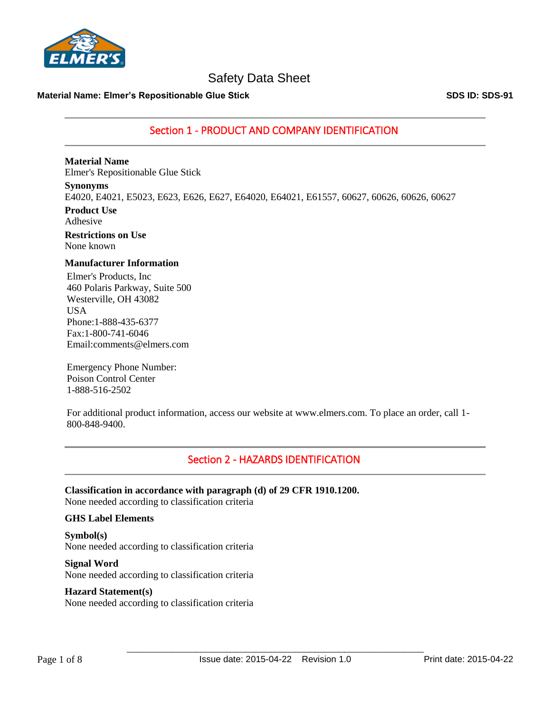

### **Material Name: Elmer's Repositionable Glue Stick SDS ID: SDS-91**

Section 1 - PRODUCT AND COMPANY IDENTIFICATION

### **Material Name**

Elmer's Repositionable Glue Stick

### **Synonyms**

E4020, E4021, E5023, E623, E626, E627, E64020, E64021, E61557, 60627, 60626, 60626, 60627

**Product Use** Adhesive

**Restrictions on Use** None known

### **Manufacturer Information**

Elmer's Products, Inc 460 Polaris Parkway, Suite 500 Westerville, OH 43082 USA Phone:1-888-435-6377 Fax:1-800-741-6046 Email:comments@elmers.com

Emergency Phone Number: Poison Control Center 1-888-516-2502

For additional product information, access our website at www.elmers.com. To place an order, call 1- 800-848-9400.

### Section 2 - HAZARDS IDENTIFICATION

**Classification in accordance with paragraph (d) of 29 CFR 1910.1200.** None needed according to classification criteria

### **GHS Label Elements**

**Symbol(s)** None needed according to classification criteria

**Signal Word** None needed according to classification criteria

### **Hazard Statement(s)**

None needed according to classification criteria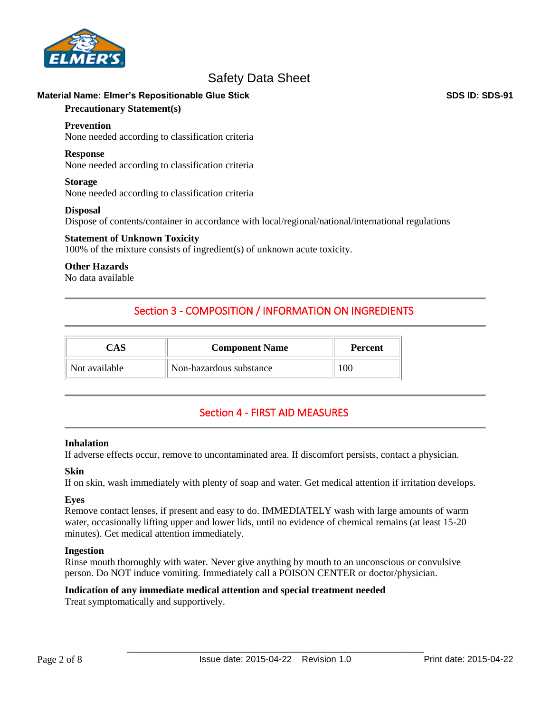

### **Material Name: Elmer's Repositionable Glue Stick SDS ID: SDS-91**

### **Precautionary Statement(s)**

### **Prevention**

None needed according to classification criteria

#### **Response**

None needed according to classification criteria

#### **Storage**

None needed according to classification criteria

### **Disposal**

Dispose of contents/container in accordance with local/regional/national/international regulations

### **Statement of Unknown Toxicity**

100% of the mixture consists of ingredient(s) of unknown acute toxicity.

### **Other Hazards**

No data available

### Section 3 - COMPOSITION / INFORMATION ON INGREDIENTS

| CAS           | <b>Component Name</b>   | <b>Percent</b> |
|---------------|-------------------------|----------------|
| Not available | Non-hazardous substance | 100            |

### Section 4 - FIRST AID MEASURES

### **Inhalation**

If adverse effects occur, remove to uncontaminated area. If discomfort persists, contact a physician.

### **Skin**

If on skin, wash immediately with plenty of soap and water. Get medical attention if irritation develops.

### **Eyes**

Remove contact lenses, if present and easy to do. IMMEDIATELY wash with large amounts of warm water, occasionally lifting upper and lower lids, until no evidence of chemical remains (at least 15-20 minutes). Get medical attention immediately.

### **Ingestion**

Rinse mouth thoroughly with water. Never give anything by mouth to an unconscious or convulsive person. Do NOT induce vomiting. Immediately call a POISON CENTER or doctor/physician.

### **Indication of any immediate medical attention and special treatment needed**

Treat symptomatically and supportively.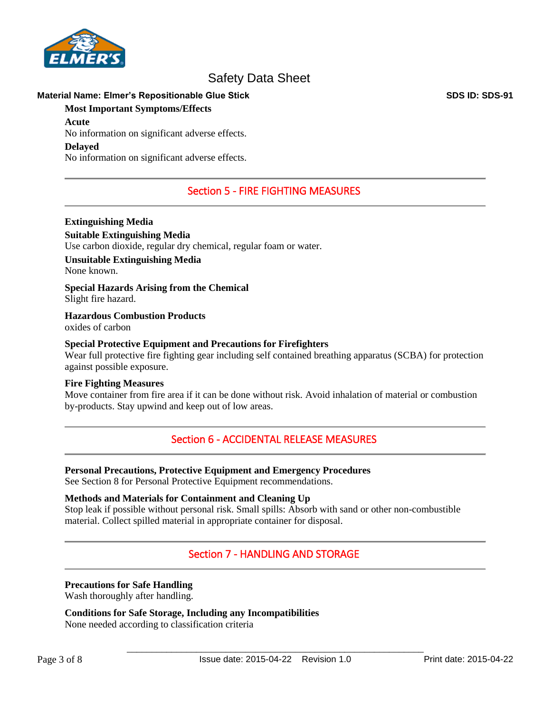

### **Material Name: Elmer's Repositionable Glue Stick SDS ID: SDS-91**

### **Most Important Symptoms/Effects**

### **Acute**

No information on significant adverse effects.

### **Delayed**

No information on significant adverse effects.

### Section 5 - FIRE FIGHTING MEASURES

### **Extinguishing Media**

**Suitable Extinguishing Media** Use carbon dioxide, regular dry chemical, regular foam or water.

# **Unsuitable Extinguishing Media**

None known.

**Special Hazards Arising from the Chemical** Slight fire hazard.

**Hazardous Combustion Products** oxides of carbon

### **Special Protective Equipment and Precautions for Firefighters**

Wear full protective fire fighting gear including self contained breathing apparatus (SCBA) for protection against possible exposure.

### **Fire Fighting Measures**

Move container from fire area if it can be done without risk. Avoid inhalation of material or combustion by-products. Stay upwind and keep out of low areas.

### Section 6 - ACCIDENTAL RELEASE MEASURES

### **Personal Precautions, Protective Equipment and Emergency Procedures**

See Section 8 for Personal Protective Equipment recommendations.

### **Methods and Materials for Containment and Cleaning Up**

Stop leak if possible without personal risk. Small spills: Absorb with sand or other non-combustible material. Collect spilled material in appropriate container for disposal.

### Section 7 - HANDLING AND STORAGE

### **Precautions for Safe Handling**

Wash thoroughly after handling.

### **Conditions for Safe Storage, Including any Incompatibilities**

None needed according to classification criteria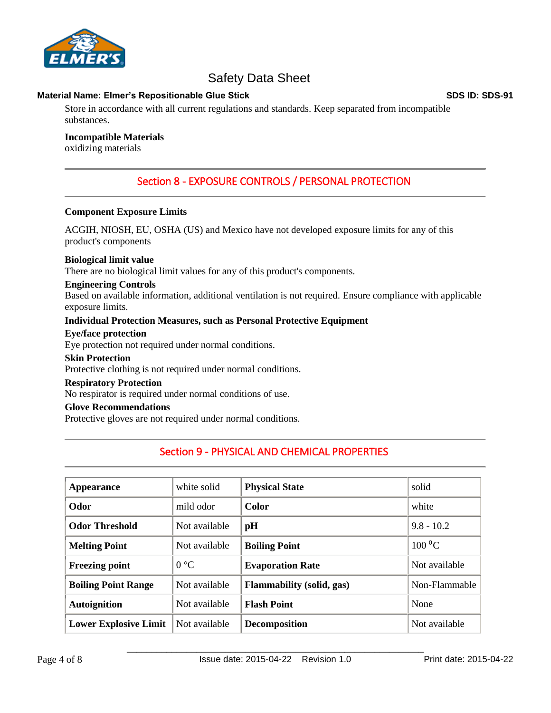

### **Material Name: Elmer's Repositionable Glue Stick SDS ID: SDS-91**

Store in accordance with all current regulations and standards. Keep separated from incompatible substances.

### **Incompatible Materials**

oxidizing materials

### Section 8 - EXPOSURE CONTROLS / PERSONAL PROTECTION

### **Component Exposure Limits**

ACGIH, NIOSH, EU, OSHA (US) and Mexico have not developed exposure limits for any of this product's components

### **Biological limit value**

There are no biological limit values for any of this product's components.

### **Engineering Controls**

Based on available information, additional ventilation is not required. Ensure compliance with applicable exposure limits.

### **Individual Protection Measures, such as Personal Protective Equipment**

### **Eye/face protection**

Eye protection not required under normal conditions.

### **Skin Protection**

Protective clothing is not required under normal conditions.

### **Respiratory Protection**

No respirator is required under normal conditions of use.

### **Glove Recommendations**

Protective gloves are not required under normal conditions.

### Section 9 - PHYSICAL AND CHEMICAL PROPERTIES

| Appearance                   | white solid   | <b>Physical State</b>            | solid           |
|------------------------------|---------------|----------------------------------|-----------------|
| Odor                         | mild odor     | <b>Color</b>                     | white           |
| <b>Odor Threshold</b>        | Not available | pH                               | $9.8 - 10.2$    |
| <b>Melting Point</b>         | Not available | <b>Boiling Point</b>             | $100\text{ °C}$ |
| <b>Freezing point</b>        | $0^{\circ}C$  | <b>Evaporation Rate</b>          | Not available   |
| <b>Boiling Point Range</b>   | Not available | <b>Flammability (solid, gas)</b> | Non-Flammable   |
| <b>Autoignition</b>          | Not available | <b>Flash Point</b>               | None            |
| <b>Lower Explosive Limit</b> | Not available | <b>Decomposition</b>             | Not available   |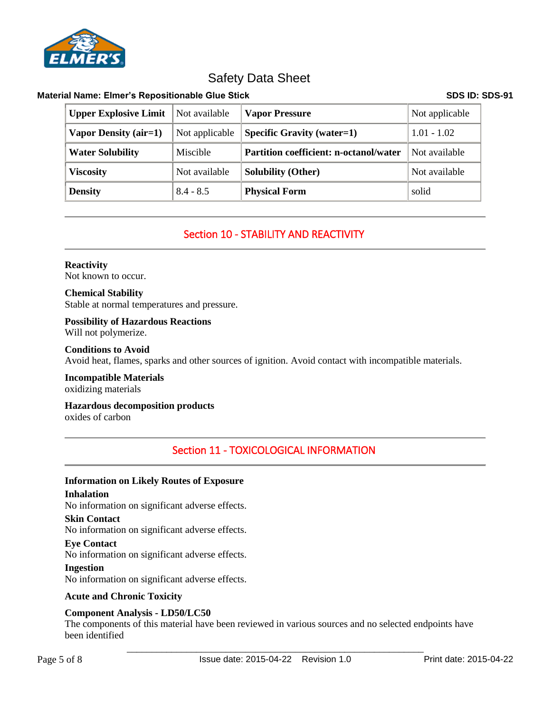

### **Material Name: Elmer's Repositionable Glue Stick SDS ID: SDS-91**

| <b>Upper Explosive Limit</b> | Not available   | <b>Vapor Pressure</b>                         | Not applicable |
|------------------------------|-----------------|-----------------------------------------------|----------------|
| Vapor Density (air=1)        | Not applicable  | <b>Specific Gravity (water=1)</b>             | $1.01 - 1.02$  |
| <b>Water Solubility</b>      | <b>Miscible</b> | <b>Partition coefficient: n-octanol/water</b> | Not available  |
| <b>Viscosity</b>             | Not available   | <b>Solubility (Other)</b>                     | Not available  |
| <b>Density</b>               | $8.4 - 8.5$     | <b>Physical Form</b>                          | solid          |

### Section 10 - STABILITY AND REACTIVITY

### **Reactivity**

Not known to occur.

### **Chemical Stability** Stable at normal temperatures and pressure.

### **Possibility of Hazardous Reactions**

Will not polymerize.

### **Conditions to Avoid**

Avoid heat, flames, sparks and other sources of ignition. Avoid contact with incompatible materials.

#### **Incompatible Materials** oxidizing materials

# **Hazardous decomposition products**

oxides of carbon

## Section 11 - TOXICOLOGICAL INFORMATION

### **Information on Likely Routes of Exposure**

### **Inhalation**

No information on significant adverse effects.

### **Skin Contact**

No information on significant adverse effects.

### **Eye Contact**

No information on significant adverse effects.

### **Ingestion**

No information on significant adverse effects.

### **Acute and Chronic Toxicity**

### **Component Analysis - LD50/LC50**

The components of this material have been reviewed in various sources and no selected endpoints have been identified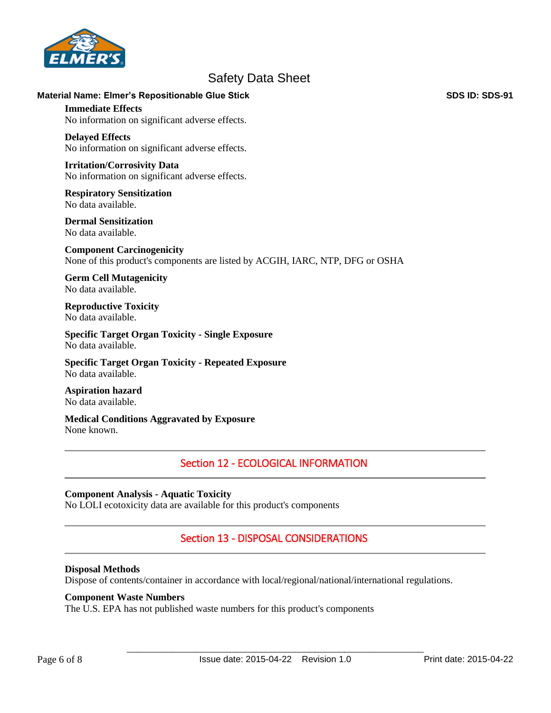

### **Material Name: Elmer's Repositionable Glue Stick SDS ID: SDS-91**

**Immediate Effects** No information on significant adverse effects.

### **Delayed Effects**

No information on significant adverse effects.

#### **Irritation/Corrosivity Data** No information on significant adverse effects.

**Respiratory Sensitization** No data available.

**Dermal Sensitization** No data available.

**Component Carcinogenicity** None of this product's components are listed by ACGIH, IARC, NTP, DFG or OSHA

**Germ Cell Mutagenicity** No data available.

#### **Reproductive Toxicity** No data available.

**Specific Target Organ Toxicity - Single Exposure** No data available.

**Specific Target Organ Toxicity - Repeated Exposure** No data available.

**Aspiration hazard** No data available.

**Medical Conditions Aggravated by Exposure** None known.

### Section 12 - ECOLOGICAL INFORMATION

### **Component Analysis - Aquatic Toxicity**

No LOLI ecotoxicity data are available for this product's components

### Section 13 - DISPOSAL CONSIDERATIONS

### **Disposal Methods**

Dispose of contents/container in accordance with local/regional/national/international regulations.

### **Component Waste Numbers**

The U.S. EPA has not published waste numbers for this product's components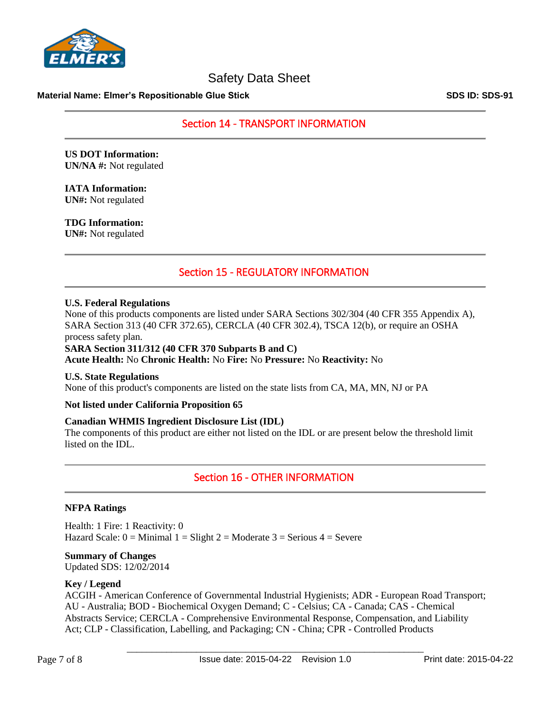

### **Material Name: Elmer's Repositionable Glue Stick SDS ID: SDS-91**

Section 14 - TRANSPORT INFORMATION

**US DOT Information: UN/NA #:** Not regulated

**IATA Information: UN#:** Not regulated

**TDG Information: UN#:** Not regulated

### Section 15 - REGULATORY INFORMATION

### **U.S. Federal Regulations**

None of this products components are listed under SARA Sections 302/304 (40 CFR 355 Appendix A), SARA Section 313 (40 CFR 372.65), CERCLA (40 CFR 302.4), TSCA 12(b), or require an OSHA process safety plan.

**SARA Section 311/312 (40 CFR 370 Subparts B and C) Acute Health:** No **Chronic Health:** No **Fire:** No **Pressure:** No **Reactivity:** No

### **U.S. State Regulations**

None of this product's components are listed on the state lists from CA, MA, MN, NJ or PA

### **Not listed under California Proposition 65**

### **Canadian WHMIS Ingredient Disclosure List (IDL)**

The components of this product are either not listed on the IDL or are present below the threshold limit listed on the IDL.

### Section 16 - OTHER INFORMATION

### **NFPA Ratings**

Health: 1 Fire: 1 Reactivity: 0 Hazard Scale:  $0 =$  Minimal  $1 =$  Slight  $2 =$  Moderate  $3 =$  Serious  $4 =$  Severe

### **Summary of Changes**

Updated SDS: 12/02/2014

### **Key / Legend**

ACGIH - American Conference of Governmental Industrial Hygienists; ADR - European Road Transport; AU - Australia; BOD - Biochemical Oxygen Demand; C - Celsius; CA - Canada; CAS - Chemical Abstracts Service; CERCLA - Comprehensive Environmental Response, Compensation, and Liability Act; CLP - Classification, Labelling, and Packaging; CN - China; CPR - Controlled Products